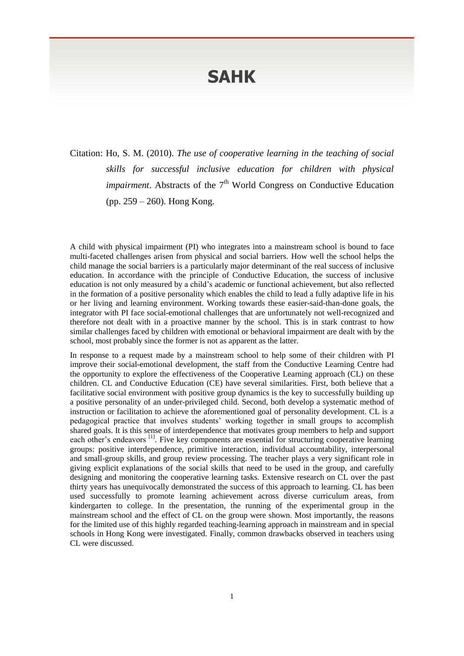## **SAHK**

Citation: Ho, S. M. (2010). *The use of cooperative learning in the teaching of social skills for successful inclusive education for children with physical impairment*. Abstracts of the 7<sup>th</sup> World Congress on Conductive Education (pp. 259 – 260). Hong Kong.

A child with physical impairment (PI) who integrates into a mainstream school is bound to face multi-faceted challenges arisen from physical and social barriers. How well the school helps the child manage the social barriers is a particularly major determinant of the real success of inclusive education. In accordance with the principle of Conductive Education, the success of inclusive education is not only measured by a child's academic or functional achievement, but also reflected in the formation of a positive personality which enables the child to lead a fully adaptive life in his or her living and learning environment. Working towards these easier-said-than-done goals, the integrator with PI face social-emotional challenges that are unfortunately not well-recognized and therefore not dealt with in a proactive manner by the school. This is in stark contrast to how similar challenges faced by children with emotional or behavioral impairment are dealt with by the school, most probably since the former is not as apparent as the latter.

In response to a request made by a mainstream school to help some of their children with PI improve their social-emotional development, the staff from the Conductive Learning Centre had the opportunity to explore the effectiveness of the Cooperative Learning approach (CL) on these children. CL and Conductive Education (CE) have several similarities. First, both believe that a facilitative social environment with positive group dynamics is the key to successfully building up a positive personality of an under-privileged child. Second, both develop a systematic method of instruction or facilitation to achieve the aforementioned goal of personality development. CL is a pedagogical practice that involves students' working together in small groups to accomplish shared goals. It is this sense of interdependence that motivates group members to help and support each other's endeavors <sup>[1]</sup>. Five key components are essential for structuring cooperative learning groups: positive interdependence, primitive interaction, individual accountability, interpersonal and small-group skills, and group review processing. The teacher plays a very significant role in giving explicit explanations of the social skills that need to be used in the group, and carefully designing and monitoring the cooperative learning tasks. Extensive research on CL over the past thirty years has unequivocally demonstrated the success of this approach to learning. CL has been used successfully to promote learning achievement across diverse curriculum areas, from kindergarten to college. In the presentation, the running of the experimental group in the mainstream school and the effect of CL on the group were shown. Most importantly, the reasons for the limited use of this highly regarded teaching-learning approach in mainstream and in special schools in Hong Kong were investigated. Finally, common drawbacks observed in teachers using CL were discussed.